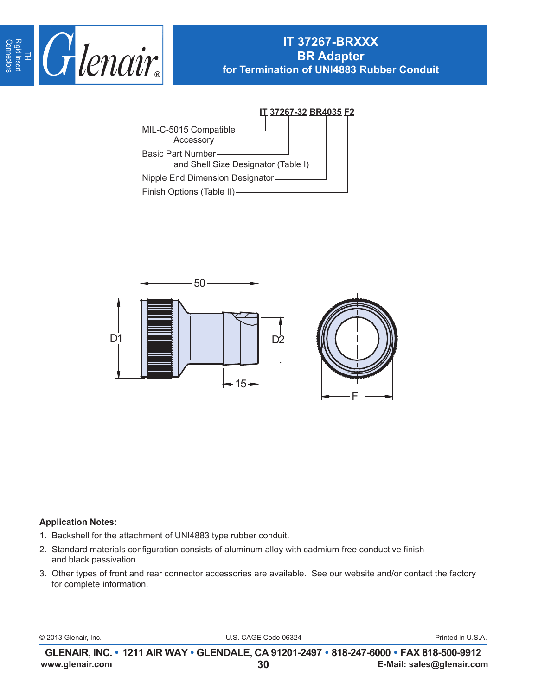

## **IT 37267-BRXXX BR Adapter for Termination of UNI4883 Rubber Conduit**





## **Application Notes:**

- 1. Backshell for the attachment of UNI4883 type rubber conduit.
- 2. Standard materials configuration consists of aluminum alloy with cadmium free conductive finish and black passivation.
- 3. Other types of front and rear connector accessories are available. See our website and/or contact the factory for complete information.

© 2013 Glenair, Inc. U.S. CAGE Code 06324 Printed in U.S.A.